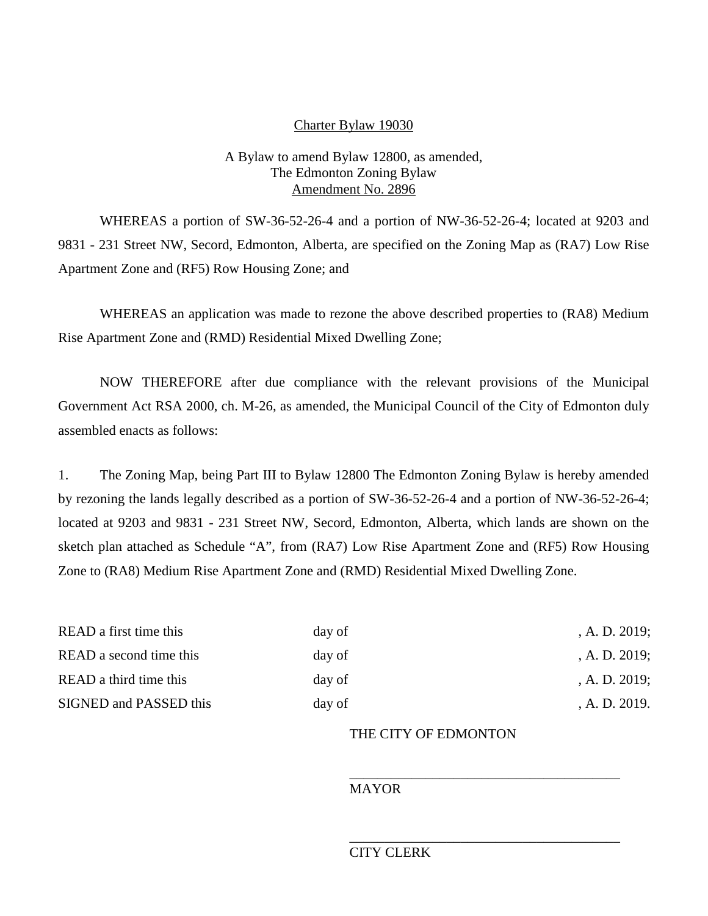#### Charter Bylaw 19030

### A Bylaw to amend Bylaw 12800, as amended, The Edmonton Zoning Bylaw Amendment No. 2896

WHEREAS a portion of SW-36-52-26-4 and a portion of NW-36-52-26-4; located at 9203 and 9831 - 231 Street NW, Secord, Edmonton, Alberta, are specified on the Zoning Map as (RA7) Low Rise Apartment Zone and (RF5) Row Housing Zone; and

WHEREAS an application was made to rezone the above described properties to (RA8) Medium Rise Apartment Zone and (RMD) Residential Mixed Dwelling Zone;

NOW THEREFORE after due compliance with the relevant provisions of the Municipal Government Act RSA 2000, ch. M-26, as amended, the Municipal Council of the City of Edmonton duly assembled enacts as follows:

1. The Zoning Map, being Part III to Bylaw 12800 The Edmonton Zoning Bylaw is hereby amended by rezoning the lands legally described as a portion of SW-36-52-26-4 and a portion of NW-36-52-26-4; located at 9203 and 9831 - 231 Street NW, Secord, Edmonton, Alberta, which lands are shown on the sketch plan attached as Schedule "A", from (RA7) Low Rise Apartment Zone and (RF5) Row Housing Zone to (RA8) Medium Rise Apartment Zone and (RMD) Residential Mixed Dwelling Zone.

| READ a first time this  | day of | A. D. 2019; |
|-------------------------|--------|-------------|
| READ a second time this | day of | A. D. 2019; |
| READ a third time this  | day of | A. D. 2019; |
| SIGNED and PASSED this  | day of | A. D. 2019. |

## THE CITY OF EDMONTON

\_\_\_\_\_\_\_\_\_\_\_\_\_\_\_\_\_\_\_\_\_\_\_\_\_\_\_\_\_\_\_\_\_\_\_\_\_\_\_

# MAYOR

#### \_\_\_\_\_\_\_\_\_\_\_\_\_\_\_\_\_\_\_\_\_\_\_\_\_\_\_\_\_\_\_\_\_\_\_\_\_\_\_ CITY CLERK